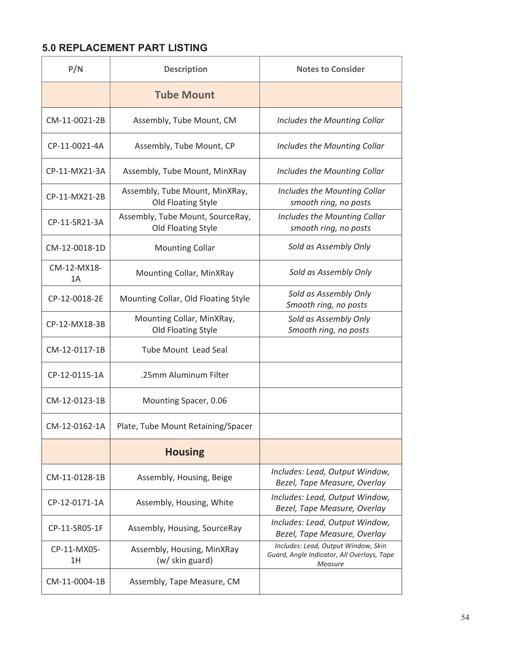## **5.0 REPLACEMENT PART LISTING**

| P/N               | <b>Description</b>                                     | <b>Notes to Consider</b>                                                                            |
|-------------------|--------------------------------------------------------|-----------------------------------------------------------------------------------------------------|
|                   | <b>Tube Mount</b>                                      |                                                                                                     |
| CM-11-0021-2B     | Assembly, Tube Mount, CM                               | Includes the Mounting Collar                                                                        |
| CP-11-0021-4A     | Assembly, Tube Mount, CP                               | Includes the Mounting Collar                                                                        |
| CP-11-MX21-3A     | Assembly, Tube Mount, MinXRay                          | Includes the Mounting Collar                                                                        |
| CP-11-MX21-2B     | Assembly, Tube Mount, MinXRay,<br>Old Floating Style   | Includes the Mounting Collar<br>smooth ring, no posts                                               |
| CP-11-SR21-3A     | Assembly, Tube Mount, SourceRay,<br>Old Floating Style | Includes the Mounting Collar<br>smooth ring, no posts                                               |
| CM-12-0018-1D     | <b>Mounting Collar</b>                                 | Sold as Assembly Only                                                                               |
| CM-12-MX18-<br>1A | Mounting Collar, MinXRay                               | Sold as Assembly Only                                                                               |
| CP-12-0018-2E     | Mounting Collar, Old Floating Style                    | Sold as Assembly Only<br>Smooth ring, no posts                                                      |
| CP-12-MX18-3B     | Mounting Collar, MinXRay,<br>Old Floating Style        | Sold as Assembly Only<br>Smooth ring, no posts                                                      |
| CM-12-0117-1B     | <b>Tube Mount Lead Seal</b>                            |                                                                                                     |
| CP-12-0115-1A     | .25mm Aluminum Filter                                  |                                                                                                     |
| CM-12-0123-1B     | Mounting Spacer, 0.06                                  |                                                                                                     |
| CM-12-0162-1A     | Plate, Tube Mount Retaining/Spacer                     |                                                                                                     |
|                   | <b>Housing</b>                                         |                                                                                                     |
| CM-11-0128-1B     | Assembly, Housing, Beige                               | Includes: Lead, Output Window,<br>Bezel, Tape Measure, Overlay                                      |
| CP-12-0171-1A     | Assembly, Housing, White                               | Includes: Lead, Output Window,<br>Bezel, Tape Measure, Overlay                                      |
| CP-11-SR05-1F     | Assembly, Housing, SourceRay                           | Includes: Lead, Output Window,<br>Bezel, Tape Measure, Overlay                                      |
| CP-11-MX05-<br>1Η | Assembly, Housing, MinXRay<br>(w/ skin guard)          | Includes: Lead, Output Window, Skin<br>Guard, Angle Indicator, All Overlays, Tape<br><b>Measure</b> |
| CM-11-0004-1B     | Assembly, Tape Measure, CM                             |                                                                                                     |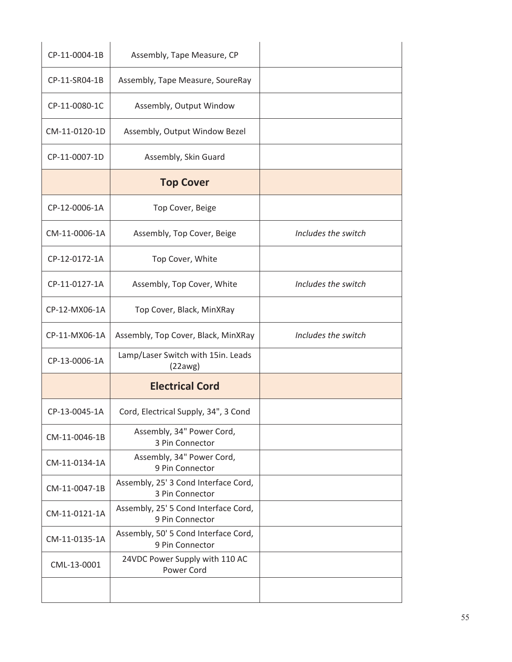| CP-11-0004-1B | Assembly, Tape Measure, CP                              |                     |
|---------------|---------------------------------------------------------|---------------------|
| CP-11-SR04-1B | Assembly, Tape Measure, SoureRay                        |                     |
| CP-11-0080-1C | Assembly, Output Window                                 |                     |
| CM-11-0120-1D | Assembly, Output Window Bezel                           |                     |
| CP-11-0007-1D | Assembly, Skin Guard                                    |                     |
|               | <b>Top Cover</b>                                        |                     |
| CP-12-0006-1A | Top Cover, Beige                                        |                     |
| CM-11-0006-1A | Assembly, Top Cover, Beige                              | Includes the switch |
| CP-12-0172-1A | Top Cover, White                                        |                     |
| CP-11-0127-1A | Assembly, Top Cover, White                              | Includes the switch |
| CP-12-MX06-1A | Top Cover, Black, MinXRay                               |                     |
| CP-11-MX06-1A | Assembly, Top Cover, Black, MinXRay                     | Includes the switch |
|               |                                                         |                     |
| CP-13-0006-1A | Lamp/Laser Switch with 15in. Leads<br>(22awg)           |                     |
|               | <b>Electrical Cord</b>                                  |                     |
| CP-13-0045-1A | Cord, Electrical Supply, 34", 3 Cond                    |                     |
| CM-11-0046-1B | Assembly, 34" Power Cord,<br>3 Pin Connector            |                     |
| CM-11-0134-1A | Assembly, 34" Power Cord,<br>9 Pin Connector            |                     |
| CM-11-0047-1B | Assembly, 25' 3 Cond Interface Cord,<br>3 Pin Connector |                     |
| CM-11-0121-1A | Assembly, 25' 5 Cond Interface Cord,<br>9 Pin Connector |                     |
| CM-11-0135-1A | Assembly, 50' 5 Cond Interface Cord,<br>9 Pin Connector |                     |
| CML-13-0001   | 24VDC Power Supply with 110 AC<br>Power Cord            |                     |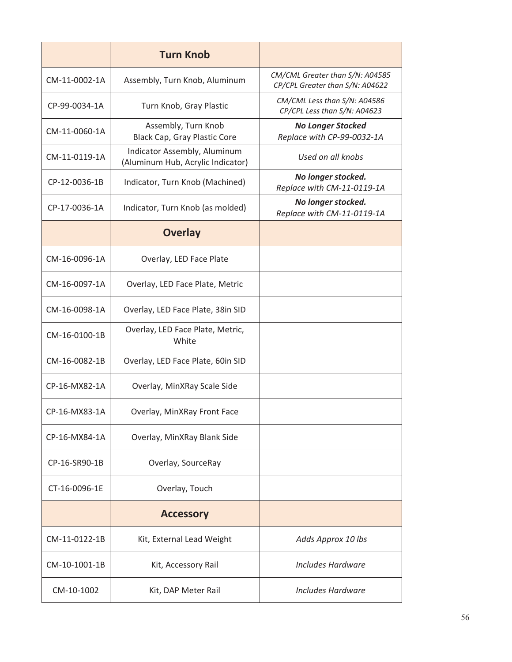|               | <b>Turn Knob</b>                                                  |                                                                    |
|---------------|-------------------------------------------------------------------|--------------------------------------------------------------------|
| CM-11-0002-1A | Assembly, Turn Knob, Aluminum                                     | CM/CML Greater than S/N: A04585<br>CP/CPL Greater than S/N: A04622 |
| CP-99-0034-1A | Turn Knob, Gray Plastic                                           | CM/CML Less than S/N: A04586<br>CP/CPL Less than S/N: A04623       |
| CM-11-0060-1A | Assembly, Turn Knob<br>Black Cap, Gray Plastic Core               | <b>No Longer Stocked</b><br>Replace with CP-99-0032-1A             |
| CM-11-0119-1A | Indicator Assembly, Aluminum<br>(Aluminum Hub, Acrylic Indicator) | Used on all knobs                                                  |
| CP-12-0036-1B | Indicator, Turn Knob (Machined)                                   | No longer stocked.<br>Replace with CM-11-0119-1A                   |
| CP-17-0036-1A | Indicator, Turn Knob (as molded)                                  | No longer stocked.<br>Replace with CM-11-0119-1A                   |
|               | <b>Overlay</b>                                                    |                                                                    |
| CM-16-0096-1A | Overlay, LED Face Plate                                           |                                                                    |
| CM-16-0097-1A | Overlay, LED Face Plate, Metric                                   |                                                                    |
| CM-16-0098-1A | Overlay, LED Face Plate, 38in SID                                 |                                                                    |
| CM-16-0100-1B | Overlay, LED Face Plate, Metric,<br>White                         |                                                                    |
| CM-16-0082-1B | Overlay, LED Face Plate, 60in SID                                 |                                                                    |
| CP-16-MX82-1A | Overlay, MinXRay Scale Side                                       |                                                                    |
| CP-16-MX83-1A | Overlay, MinXRay Front Face                                       |                                                                    |
| CP-16-MX84-1A | Overlay, MinXRay Blank Side                                       |                                                                    |
| CP-16-SR90-1B | Overlay, SourceRay                                                |                                                                    |
| CT-16-0096-1E | Overlay, Touch                                                    |                                                                    |
|               | <b>Accessory</b>                                                  |                                                                    |
| CM-11-0122-1B | Kit, External Lead Weight                                         | Adds Approx 10 lbs                                                 |
| CM-10-1001-1B | Kit, Accessory Rail                                               | <b>Includes Hardware</b>                                           |
| CM-10-1002    | Kit, DAP Meter Rail                                               | Includes Hardware                                                  |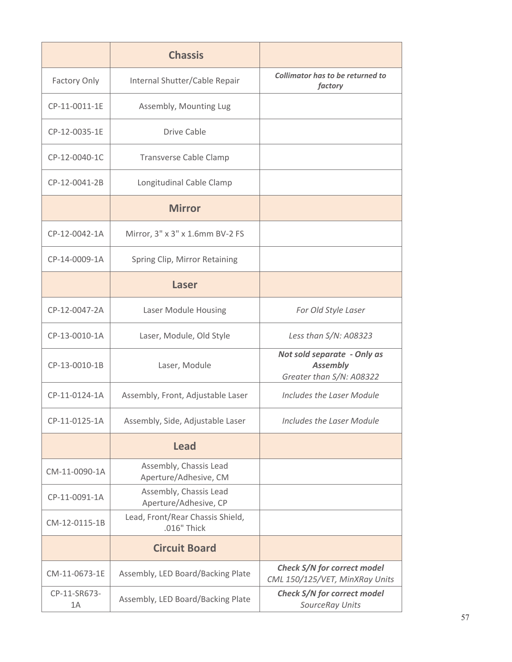|                    | <b>Chassis</b>                                  |                                                                            |
|--------------------|-------------------------------------------------|----------------------------------------------------------------------------|
| Factory Only       | Internal Shutter/Cable Repair                   | Collimator has to be returned to<br>factory                                |
| CP-11-0011-1E      | Assembly, Mounting Lug                          |                                                                            |
| CP-12-0035-1E      | Drive Cable                                     |                                                                            |
| CP-12-0040-1C      | <b>Transverse Cable Clamp</b>                   |                                                                            |
| CP-12-0041-2B      | Longitudinal Cable Clamp                        |                                                                            |
|                    | <b>Mirror</b>                                   |                                                                            |
| CP-12-0042-1A      | Mirror, 3" x 3" x 1.6mm BV-2 FS                 |                                                                            |
| CP-14-0009-1A      | Spring Clip, Mirror Retaining                   |                                                                            |
|                    | Laser                                           |                                                                            |
| CP-12-0047-2A      | Laser Module Housing                            | For Old Style Laser                                                        |
| CP-13-0010-1A      | Laser, Module, Old Style                        | Less than S/N: A08323                                                      |
| CP-13-0010-1B      | Laser, Module                                   | Not sold separate - Only as<br><b>Assembly</b><br>Greater than S/N: A08322 |
| CP-11-0124-1A      | Assembly, Front, Adjustable Laser               | Includes the Laser Module                                                  |
| CP-11-0125-1A      | Assembly, Side, Adjustable Laser                | <b>Includes the Laser Module</b>                                           |
|                    | <b>Lead</b>                                     |                                                                            |
| CM-11-0090-1A      | Assembly, Chassis Lead<br>Aperture/Adhesive, CM |                                                                            |
| CP-11-0091-1A      | Assembly, Chassis Lead<br>Aperture/Adhesive, CP |                                                                            |
| CM-12-0115-1B      | Lead, Front/Rear Chassis Shield,<br>.016" Thick |                                                                            |
|                    | <b>Circuit Board</b>                            |                                                                            |
| CM-11-0673-1E      | Assembly, LED Board/Backing Plate               | Check S/N for correct model<br>CML 150/125/VET, MinXRay Units              |
| CP-11-SR673-<br>1A | Assembly, LED Board/Backing Plate               | Check S/N for correct model<br>SourceRay Units                             |